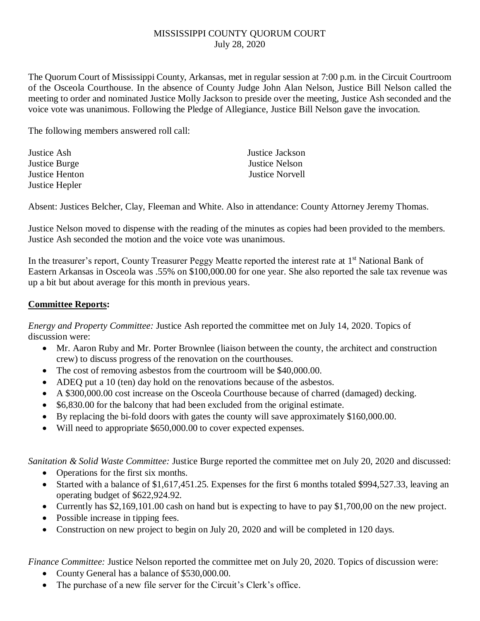## MISSISSIPPI COUNTY QUORUM COURT July 28, 2020

The Quorum Court of Mississippi County, Arkansas, met in regular session at 7:00 p.m. in the Circuit Courtroom of the Osceola Courthouse. In the absence of County Judge John Alan Nelson, Justice Bill Nelson called the meeting to order and nominated Justice Molly Jackson to preside over the meeting, Justice Ash seconded and the voice vote was unanimous. Following the Pledge of Allegiance, Justice Bill Nelson gave the invocation.

The following members answered roll call:

Justice Ash Justice Jackson Justice Burge Justice Nelson Justice Hepler

Justice Henton Justice Norvell

Absent: Justices Belcher, Clay, Fleeman and White. Also in attendance: County Attorney Jeremy Thomas.

Justice Nelson moved to dispense with the reading of the minutes as copies had been provided to the members. Justice Ash seconded the motion and the voice vote was unanimous.

In the treasurer's report, County Treasurer Peggy Meatte reported the interest rate at 1<sup>st</sup> National Bank of Eastern Arkansas in Osceola was .55% on \$100,000.00 for one year. She also reported the sale tax revenue was up a bit but about average for this month in previous years.

## **Committee Reports:**

*Energy and Property Committee:* Justice Ash reported the committee met on July 14, 2020. Topics of discussion were:

- Mr. Aaron Ruby and Mr. Porter Brownlee (liaison between the county, the architect and construction crew) to discuss progress of the renovation on the courthouses.
- The cost of removing asbestos from the courtroom will be \$40,000.00.
- ADEQ put a 10 (ten) day hold on the renovations because of the asbestos.
- A \$300,000.00 cost increase on the Osceola Courthouse because of charred (damaged) decking.
- \$6,830.00 for the balcony that had been excluded from the original estimate.
- By replacing the bi-fold doors with gates the county will save approximately \$160,000.00.
- Will need to appropriate \$650,000.00 to cover expected expenses.

*Sanitation & Solid Waste Committee:* Justice Burge reported the committee met on July 20, 2020 and discussed:

- Operations for the first six months.
- Started with a balance of \$1,617,451.25. Expenses for the first 6 months totaled \$994,527.33, leaving an operating budget of \$622,924.92.
- Currently has \$2,169,101.00 cash on hand but is expecting to have to pay \$1,700,00 on the new project.
- Possible increase in tipping fees.
- Construction on new project to begin on July 20, 2020 and will be completed in 120 days.

*Finance Committee:* Justice Nelson reported the committee met on July 20, 2020. Topics of discussion were:

- County General has a balance of \$530,000.00.
- The purchase of a new file server for the Circuit's Clerk's office.